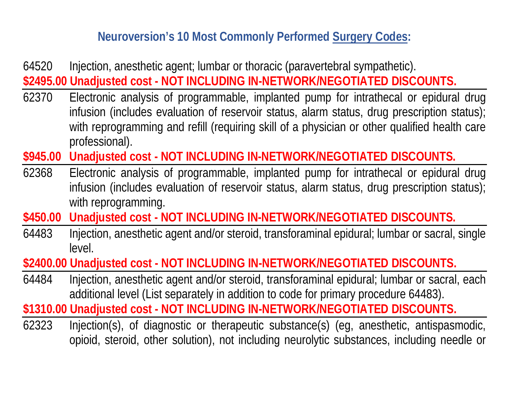## **Neuroversion's 10 Most Commonly Performed Surgery Codes:**

- 64520 Injection, anesthetic agent; lumbar or thoracic (paravertebral sympathetic). **\$2495.00 Unadjusted cost - NOT INCLUDING IN-NETWORK/NEGOTIATED DISCOUNTS.**
- 62370 Electronic analysis of programmable, implanted pump for intrathecal or epidural drug infusion (includes evaluation of reservoir status, alarm status, drug prescription status); with reprogramming and refill (requiring skill of a physician or other qualified health care professional).
- **\$945.00 Unadjusted cost NOT INCLUDING IN-NETWORK/NEGOTIATED DISCOUNTS.**
- 62368 Electronic analysis of programmable, implanted pump for intrathecal or epidural drug infusion (includes evaluation of reservoir status, alarm status, drug prescription status); with reprogramming.
- **\$450.00 Unadjusted cost NOT INCLUDING IN-NETWORK/NEGOTIATED DISCOUNTS.**
- 64483 Injection, anesthetic agent and/or steroid, transforaminal epidural; lumbar or sacral, single level.

**\$2400.00 Unadjusted cost - NOT INCLUDING IN-NETWORK/NEGOTIATED DISCOUNTS.**

64484 Injection, anesthetic agent and/or steroid, transforaminal epidural; lumbar or sacral, each additional level (List separately in addition to code for primary procedure 64483).

**\$1310.00 Unadjusted cost - NOT INCLUDING IN-NETWORK/NEGOTIATED DISCOUNTS.**

62323 Injection(s), of diagnostic or therapeutic substance(s) (eg, anesthetic, antispasmodic, opioid, steroid, other solution), not including neurolytic substances, including needle or